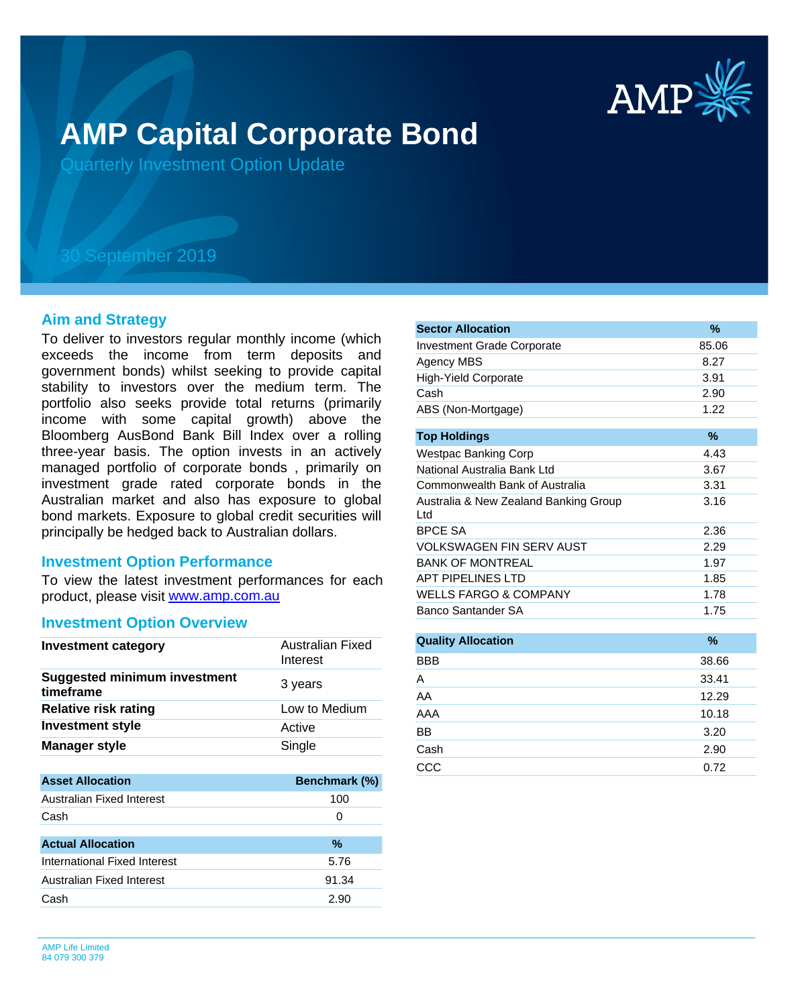

# **AMP Capital Corporate Bond**

Quarterly Investment Option Update

## 30 September 2019

#### **Aim and Strategy**

To deliver to investors regular monthly income (which exceeds the income from term deposits and government bonds) whilst seeking to provide capital stability to investors over the medium term. The portfolio also seeks provide total returns (primarily income with some capital growth) above the Bloomberg AusBond Bank Bill Index over a rolling three-year basis. The option invests in an actively managed portfolio of corporate bonds , primarily on investment grade rated corporate bonds in the Australian market and also has exposure to global bond markets. Exposure to global credit securities will principally be hedged back to Australian dollars.

#### **Investment Option Performance**

product, please visit [www.amp.com.au](https://www.amp.com.au) To view the latest investment performances for each

#### **Investment Option Overview**

| <b>Investment category</b>                       | Australian Fixed<br>Interest |
|--------------------------------------------------|------------------------------|
| <b>Suggested minimum investment</b><br>timeframe | 3 years                      |
| <b>Relative risk rating</b>                      | Low to Medium                |
| <b>Investment style</b>                          | Active                       |
| <b>Manager style</b>                             | Single                       |
|                                                  |                              |
| <b>Asset Allocation</b>                          | Benchmark (%)                |
| Australian Fixed Interest                        | 100                          |
| Cash                                             | $\Omega$                     |
|                                                  |                              |
|                                                  |                              |
| <b>Actual Allocation</b>                         | $\%$                         |
| International Fixed Interest                     | 5.76                         |
| Australian Fixed Interest                        | 91.34                        |
| Cash                                             | 2.90                         |

| <b>Sector Allocation</b>                     | %             |
|----------------------------------------------|---------------|
| <b>Investment Grade Corporate</b>            | 85.06         |
| Agency MBS                                   | 8.27          |
| <b>High-Yield Corporate</b>                  | 3.91          |
| Cash                                         | 2.90          |
| ABS (Non-Mortgage)                           | 1.22          |
| <b>Top Holdings</b>                          | $\%$          |
| <b>Westpac Banking Corp</b>                  | 4.43          |
| National Australia Bank Ltd                  | 3.67          |
| Commonwealth Bank of Australia               | 3.31          |
| Australia & New Zealand Banking Group<br>Ltd | 3.16          |
| <b>BPCE SA</b>                               | 2.36          |
| VOLKSWAGEN FIN SERV AUST                     | 2.29          |
| <b>BANK OF MONTREAL</b>                      | 1.97          |
| <b>APT PIPELINES LTD</b>                     | 1.85          |
| <b>WELLS FARGO &amp; COMPANY</b>             | 1.78          |
| Banco Santander SA                           | 1.75          |
|                                              |               |
| <b>Quality Allocation</b>                    | $\frac{9}{6}$ |
| <b>BBB</b>                                   | 38.66         |
| A                                            | 33.41         |
| AA                                           | 12.29         |
| AAA                                          | 10.18         |
| <b>BB</b>                                    | 3.20          |
| Cash                                         | 2.90          |
| CCC                                          | 0.72          |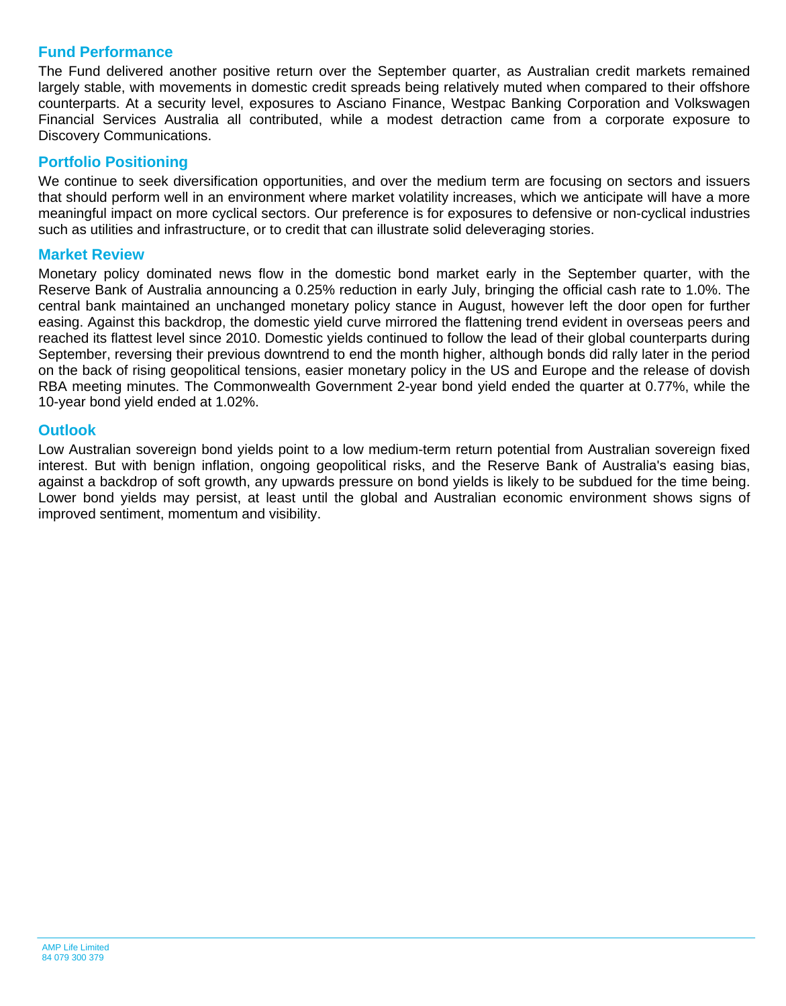## **Fund Performance**

The Fund delivered another positive return over the September quarter, as Australian credit markets remained largely stable, with movements in domestic credit spreads being relatively muted when compared to their offshore counterparts. At a security level, exposures to Asciano Finance, Westpac Banking Corporation and Volkswagen Financial Services Australia all contributed, while a modest detraction came from a corporate exposure to Discovery Communications.

## **Portfolio Positioning**

We continue to seek diversification opportunities, and over the medium term are focusing on sectors and issuers that should perform well in an environment where market volatility increases, which we anticipate will have a more meaningful impact on more cyclical sectors. Our preference is for exposures to defensive or non-cyclical industries such as utilities and infrastructure, or to credit that can illustrate solid deleveraging stories.

## **Market Review**

Monetary policy dominated news flow in the domestic bond market early in the September quarter, with the Reserve Bank of Australia announcing a 0.25% reduction in early July, bringing the official cash rate to 1.0%. The central bank maintained an unchanged monetary policy stance in August, however left the door open for further easing. Against this backdrop, the domestic yield curve mirrored the flattening trend evident in overseas peers and reached its flattest level since 2010. Domestic yields continued to follow the lead of their global counterparts during September, reversing their previous downtrend to end the month higher, although bonds did rally later in the period on the back of rising geopolitical tensions, easier monetary policy in the US and Europe and the release of dovish RBA meeting minutes. The Commonwealth Government 2-year bond yield ended the quarter at 0.77%, while the 10-year bond yield ended at 1.02%.

## **Outlook**

Low Australian sovereign bond yields point to a low medium-term return potential from Australian sovereign fixed interest. But with benign inflation, ongoing geopolitical risks, and the Reserve Bank of Australia's easing bias, against a backdrop of soft growth, any upwards pressure on bond yields is likely to be subdued for the time being. Lower bond yields may persist, at least until the global and Australian economic environment shows signs of improved sentiment, momentum and visibility.